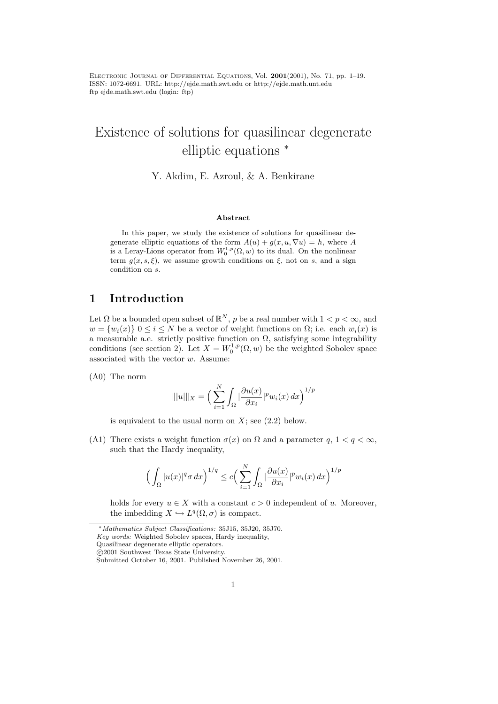Electronic Journal of Differential Equations, Vol. 2001(2001), No. 71, pp. 1–19. ISSN: 1072-6691. URL: http://ejde.math.swt.edu or http://ejde.math.unt.edu ftp ejde.math.swt.edu (login: ftp)

# Existence of solutions for quasilinear degenerate elliptic equations <sup>∗</sup>

Y. Akdim, E. Azroul, & A. Benkirane

#### Abstract

In this paper, we study the existence of solutions for quasilinear degenerate elliptic equations of the form  $A(u) + g(x, u, \nabla u) = h$ , where A is a Leray-Lions operator from  $W_0^{1,p}(\Omega, w)$  to its dual. On the nonlinear term  $g(x, s, \xi)$ , we assume growth conditions on  $\xi$ , not on s, and a sign condition on s.

# 1 Introduction

Let  $\Omega$  be a bounded open subset of  $\mathbb{R}^N$ , p be a real number with  $1 < p < \infty$ , and  $w = \{w_i(x)\}\ 0 \leq i \leq N$  be a vector of weight functions on  $\Omega$ ; i.e. each  $w_i(x)$  is a measurable a.e. strictly positive function on  $\Omega$ , satisfying some integrability conditions (see section 2). Let  $X = W_0^{1,p}(\Omega, w)$  be the weighted Sobolev space associated with the vector  $w$ . Assume:

(A0) The norm

$$
\| |u| \|_X = \Big( \sum_{i=1}^N \int_{\Omega} \Big| \frac{\partial u(x)}{\partial x_i} \Big|^p w_i(x) \, dx \Big)^{1/p}
$$

is equivalent to the usual norm on  $X$ ; see  $(2.2)$  below.

(A1) There exists a weight function  $\sigma(x)$  on  $\Omega$  and a parameter q,  $1 < q < \infty$ , such that the Hardy inequality,

$$
\Big(\int_{\Omega}|u(x)|^q\sigma\,dx\Big)^{1/q}\leq c\Big(\sum_{i=1}^N\int_{\Omega}\big|\frac{\partial u(x)}{\partial x_i}\big|^pw_i(x)\,dx\Big)^{1/p}
$$

holds for every  $u \in X$  with a constant  $c > 0$  independent of u. Moreover, the imbedding  $X \hookrightarrow L^q(\Omega, \sigma)$  is compact.

<sup>∗</sup>Mathematics Subject Classifications: 35J15, 35J20, 35J70.

Key words: Weighted Sobolev spaces, Hardy inequality,

Quasilinear degenerate elliptic operators.

c 2001 Southwest Texas State University.

Submitted October 16, 2001. Published November 26, 2001.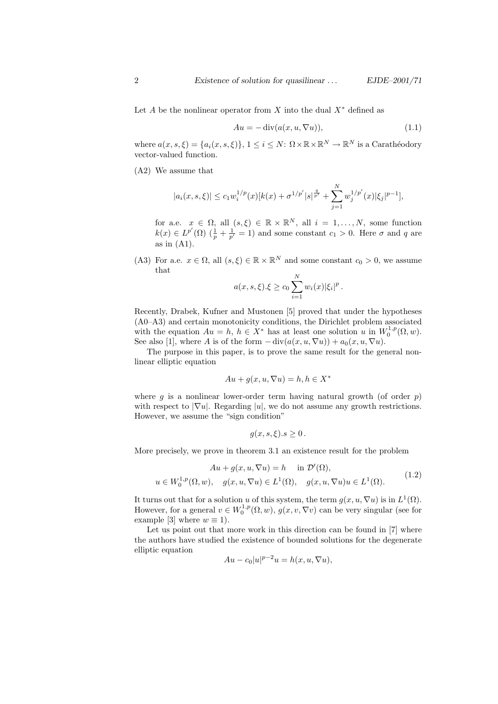Let A be the nonlinear operator from X into the dual  $X^*$  defined as

$$
Au = -\operatorname{div}(a(x, u, \nabla u)),\tag{1.1}
$$

where  $a(x, s, \xi) = \{a_i(x, s, \xi)\}\$ ,  $1 \leq i \leq N$ :  $\Omega \times \mathbb{R} \times \mathbb{R}^N \to \mathbb{R}^N$  is a Carathéodory vector-valued function.

(A2) We assume that

$$
|a_i(x, s, \xi)| \le c_1 w_i^{1/p}(x) [k(x) + \sigma^{1/p'} |s|^{\frac{q}{p'}} + \sum_{j=1}^N w_j^{1/p'}(x) |\xi_j|^{p-1}],
$$

for a.e.  $x \in \Omega$ , all  $(s,\xi) \in \mathbb{R} \times \mathbb{R}^N$ , all  $i = 1,\ldots,N$ , some function  $k(x) \in L^{p'}(\Omega)$   $(\frac{1}{p} + \frac{1}{p'} = 1)$  and some constant  $c_1 > 0$ . Here  $\sigma$  and  $q$  are as in  $(A1)$ .

(A3) For a.e.  $x \in \Omega$ , all  $(s, \xi) \in \mathbb{R} \times \mathbb{R}^N$  and some constant  $c_0 > 0$ , we assume that

$$
a(x, s, \xi). \xi \ge c_0 \sum_{i=1}^N w_i(x) |\xi_i|^p.
$$

Recently, Drabek, Kufner and Mustonen [5] proved that under the hypotheses (A0–A3) and certain monotonicity conditions, the Dirichlet problem associated with the equation  $Au = h, h \in X^*$  has at least one solution u in  $W_0^{1,p}(\Omega, w)$ . See also [1], where A is of the form  $-\text{div}(a(x, u, \nabla u)) + a_0(x, u, \nabla u)$ .

The purpose in this paper, is to prove the same result for the general nonlinear elliptic equation

$$
Au + g(x, u, \nabla u) = h, h \in X^*
$$

where g is a nonlinear lower-order term having natural growth (of order  $p$ ) with respect to  $|\nabla u|$ . Regarding |u|, we do not assume any growth restrictions. However, we assume the "sign condition"

$$
g(x, s, \xi).s \ge 0.
$$

More precisely, we prove in theorem 3.1 an existence result for the problem

$$
Au + g(x, u, \nabla u) = h \quad \text{in } \mathcal{D}'(\Omega),
$$
  

$$
u \in W_0^{1,p}(\Omega, w), \quad g(x, u, \nabla u) \in L^1(\Omega), \quad g(x, u, \nabla u)u \in L^1(\Omega).
$$
 (1.2)

It turns out that for a solution u of this system, the term  $g(x, u, \nabla u)$  is in  $L^1(\Omega)$ . However, for a general  $v \in W_0^{1,p}(\Omega, w)$ ,  $g(x, v, \nabla v)$  can be very singular (see for example [3] where  $w \equiv 1$ ).

Let us point out that more work in this direction can be found in [7] where the authors have studied the existence of bounded solutions for the degenerate elliptic equation

$$
Au - c_0|u|^{p-2}u = h(x, u, \nabla u),
$$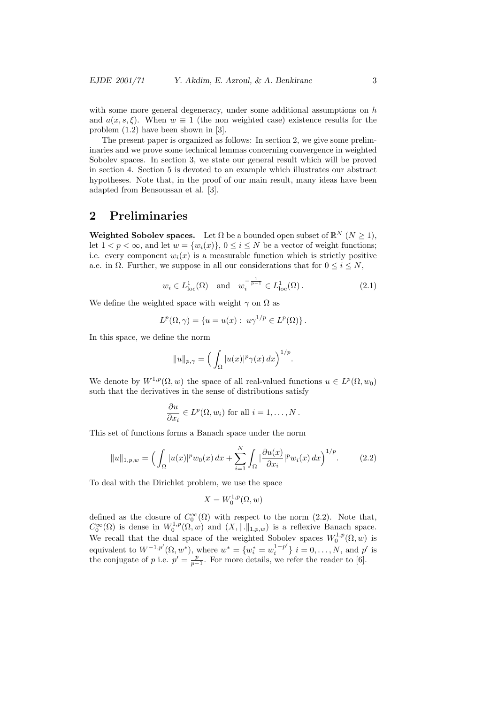with some more general degeneracy, under some additional assumptions on  $h$ and  $a(x, s, \xi)$ . When  $w \equiv 1$  (the non weighted case) existence results for the problem (1.2) have been shown in [3].

The present paper is organized as follows: In section 2, we give some preliminaries and we prove some technical lemmas concerning convergence in weighted Sobolev spaces. In section 3, we state our general result which will be proved in section 4. Section 5 is devoted to an example which illustrates our abstract hypotheses. Note that, in the proof of our main result, many ideas have been adapted from Bensoussan et al. [3].

# 2 Preliminaries

**Weighted Sobolev spaces.** Let  $\Omega$  be a bounded open subset of  $\mathbb{R}^N$   $(N \geq 1)$ , let  $1 < p < \infty$ , and let  $w = \{w_i(x)\}\$ ,  $0 \le i \le N$  be a vector of weight functions; i.e. every component  $w_i(x)$  is a measurable function which is strictly positive a.e. in  $\Omega$ . Further, we suppose in all our considerations that for  $0 \leq i \leq N$ ,

$$
w_i \in L^1_{loc}(\Omega)
$$
 and  $w_i^{-\frac{1}{p-1}} \in L^1_{loc}(\Omega)$ . (2.1)

We define the weighted space with weight  $\gamma$  on  $\Omega$  as

$$
L^p(\Omega, \gamma) = \{ u = u(x) : u\gamma^{1/p} \in L^p(\Omega) \}.
$$

In this space, we define the norm

$$
||u||_{p,\gamma} = \Big(\int_{\Omega} |u(x)|^p \gamma(x) \, dx\Big)^{1/p}.
$$

We denote by  $W^{1,p}(\Omega,w)$  the space of all real-valued functions  $u \in L^p(\Omega,w_0)$ such that the derivatives in the sense of distributions satisfy

$$
\frac{\partial u}{\partial x_i} \in L^p(\Omega, w_i) \text{ for all } i = 1, \dots, N.
$$

This set of functions forms a Banach space under the norm

$$
||u||_{1,p,w} = \left(\int_{\Omega} |u(x)|^p w_0(x) \, dx + \sum_{i=1}^N \int_{\Omega} \left|\frac{\partial u(x)}{\partial x_i}\right|^p w_i(x) \, dx\right)^{1/p}.\tag{2.2}
$$

To deal with the Dirichlet problem, we use the space

$$
X = W_0^{1,p}(\Omega, w)
$$

defined as the closure of  $C_0^{\infty}(\Omega)$  with respect to the norm (2.2). Note that,  $C_0^{\infty}(\Omega)$  is dense in  $W_0^{1,p}(\Omega,w)$  and  $(X,\|\cdot\|_{1,p,w})$  is a reflexive Banach space. We recall that the dual space of the weighted Sobolev spaces  $W_0^{1,p}(\Omega, w)$  is equivalent to  $W^{-1,p'}(\Omega, w^*)$ , where  $w^* = \{w_i^* = w_i^{1-p'}\}$  $i^{1-p'}\}$   $i = 0, ..., N$ , and  $p'$  is the conjugate of p i.e.  $p' = \frac{p}{p-1}$ . For more details, we refer the reader to [6].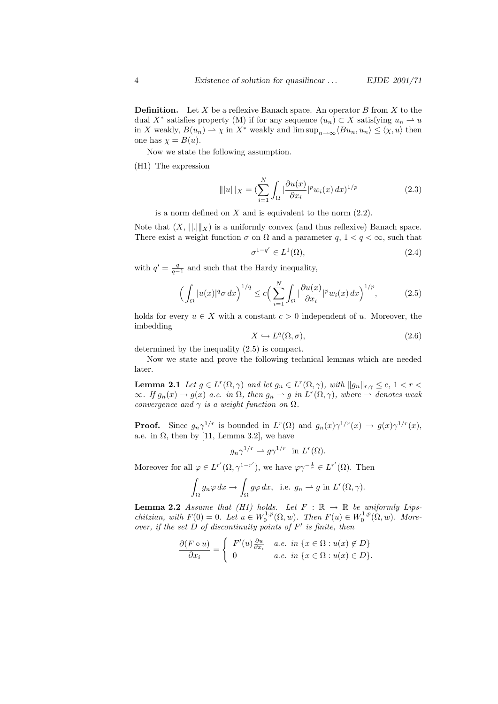**Definition.** Let X be a reflexive Banach space. An operator B from X to the dual X<sup>\*</sup> satisfies property (M) if for any sequence  $(u_n) \subset X$  satisfying  $u_n \to u$ in X weakly,  $B(u_n) \to \chi$  in X<sup>\*</sup> weakly and  $\limsup_{n \to \infty} \langle Bu_n, u_n \rangle \leq \langle \chi, u \rangle$  then one has  $\chi = B(u)$ .

Now we state the following assumption.

(H1) The expression

$$
\| |u| \|_{X} = \left( \sum_{i=1}^{N} \int_{\Omega} |\frac{\partial u(x)}{\partial x_i}|^p w_i(x) \, dx \right)^{1/p}
$$
 (2.3)

is a norm defined on  $X$  and is equivalent to the norm  $(2.2)$ .

Note that  $(X, \| \| \| X)$  is a uniformly convex (and thus reflexive) Banach space. There exist a weight function  $\sigma$  on  $\Omega$  and a parameter  $q, 1 < q < \infty$ , such that

$$
\sigma^{1-q'} \in L^1(\Omega),\tag{2.4}
$$

with  $q' = \frac{q}{q-1}$  and such that the Hardy inequality,

$$
\left(\int_{\Omega} |u(x)|^q \sigma \, dx\right)^{1/q} \le c \left(\sum_{i=1}^N \int_{\Omega} |\frac{\partial u(x)}{\partial x_i}|^p w_i(x) \, dx\right)^{1/p},\tag{2.5}
$$

holds for every  $u \in X$  with a constant  $c > 0$  independent of u. Moreover, the imbedding

$$
X \hookrightarrow L^q(\Omega, \sigma), \tag{2.6}
$$

determined by the inequality (2.5) is compact.

Now we state and prove the following technical lemmas which are needed later.

**Lemma 2.1** Let  $g \in L^r(\Omega, \gamma)$  and let  $g_n \in L^r(\Omega, \gamma)$ , with  $||g_n||_{r,\gamma} \leq c, 1 < r <$  $\infty$ . If  $g_n(x) \to g(x)$  a.e. in  $\Omega$ , then  $g_n \to g$  in  $L^r(\Omega, \gamma)$ , where  $\to$  denotes weak convergence and  $\gamma$  is a weight function on  $\Omega$ .

**Proof.** Since  $g_n \gamma^{1/r}$  is bounded in  $L^r(\Omega)$  and  $g_n(x) \gamma^{1/r}(x) \to g(x) \gamma^{1/r}(x)$ , a.e. in  $\Omega$ , then by [11, Lemma 3.2], we have

$$
g_n\gamma^{1/r} \rightharpoonup g\gamma^{1/r} \text{ in } L^r(\Omega).
$$

Moreover for all  $\varphi \in L^{r'}(\Omega, \gamma^{1-r'}),$  we have  $\varphi \gamma^{-\frac{1}{r}} \in L^{r'}(\Omega)$ . Then

$$
\int_{\Omega} g_n \varphi \, dx \to \int_{\Omega} g \varphi \, dx, \text{ i.e. } g_n \to g \text{ in } L^r(\Omega, \gamma).
$$

**Lemma 2.2** Assume that (H1) holds. Let  $F : \mathbb{R} \to \mathbb{R}$  be uniformly Lipschitzian, with  $F(0) = 0$ . Let  $u \in W_0^{1,p}(\Omega, w)$ . Then  $F(u) \in W_0^{1,p}(\Omega, w)$ . Moreover, if the set  $\overrightarrow{D}$  of discontinuity points of  $F'$  is finite, then

$$
\frac{\partial (F \circ u)}{\partial x_i} = \begin{cases} F'(u) \frac{\partial u}{\partial x_i} & a.e. \in \mathbb{R} \text{ in } \{x \in \Omega : u(x) \notin D\} \\ 0 & a.e. \in \mathbb{R} \text{ in } \{x \in \Omega : u(x) \in D\}. \end{cases}
$$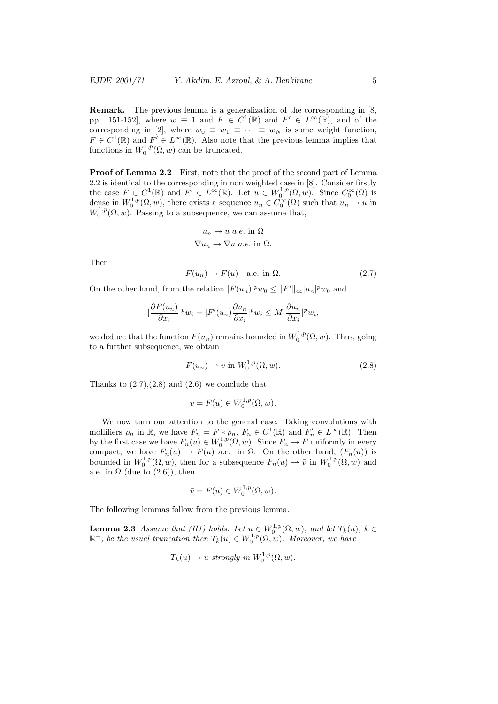Remark. The previous lemma is a generalization of the corresponding in [8, pp. 151-152, where  $w \equiv 1$  and  $F \in C^1(\mathbb{R})$  and  $F' \in L^{\infty}(\mathbb{R})$ , and of the corresponding in [2], where  $w_0 \equiv w_1 \equiv \cdots \equiv w_N$  is some weight function,  $F \in C^1(\mathbb{R})$  and  $F' \in L^{\infty}(\mathbb{R})$ . Also note that the previous lemma implies that functions in  $W_0^{1,p}(\Omega, w)$  can be truncated.

Proof of Lemma 2.2 First, note that the proof of the second part of Lemma 2.2 is identical to the corresponding in non weighted case in [8]. Consider firstly the case  $F \in C^1(\mathbb{R})$  and  $F' \in L^{\infty}(\mathbb{R})$ . Let  $u \in W_0^{1,p}(\Omega,w)$ . Since  $C_0^{\infty}(\Omega)$  is dense in  $W_0^{1,p}(\Omega, w)$ , there exists a sequence  $u_n \in C_0^{\infty}(\Omega)$  such that  $u_n \to u$  in  $W_0^{1,p}(\Omega, w)$ . Passing to a subsequence, we can assume that,

$$
u_n \to u \text{ a.e. in } \Omega
$$
  

$$
\nabla u_n \to \nabla u \text{ a.e. in } \Omega.
$$

Then

$$
F(u_n) \to F(u) \quad \text{a.e. in } \Omega. \tag{2.7}
$$

On the other hand, from the relation  $|F(u_n)|^p w_0 \leq ||F'||_{\infty} |u_n|^p w_0$  and

$$
\left|\frac{\partial F(u_n)}{\partial x_i}\right|^p w_i = \left|F'(u_n)\frac{\partial u_n}{\partial x_i}\right|^p w_i \le M \left|\frac{\partial u_n}{\partial x_i}\right|^p w_i,
$$

we deduce that the function  $F(u_n)$  remains bounded in  $W_0^{1,p}(\Omega, w)$ . Thus, going to a further subsequence, we obtain

$$
F(u_n) \rightharpoonup v \text{ in } W_0^{1,p}(\Omega, w). \tag{2.8}
$$

Thanks to  $(2.7),(2.8)$  and  $(2.6)$  we conclude that

$$
v = F(u) \in W_0^{1,p}(\Omega, w).
$$

We now turn our attention to the general case. Taking convolutions with mollifiers  $\rho_n$  in  $\mathbb{R}$ , we have  $F_n = F * \rho_n$ ,  $F_n \in C^1(\mathbb{R})$  and  $F'_n \in L^{\infty}(\mathbb{R})$ . Then by the first case we have  $F_n(u) \in W_0^{1,p}(\Omega,w)$ . Since  $F_n \to F$  uniformly in every compact, we have  $F_n(u) \to F(u)$  a.e. in  $\Omega$ . On the other hand,  $(F_n(u))$  is bounded in  $W_0^{1,p}(\Omega,w)$ , then for a subsequence  $F_n(u) \rightharpoonup \overline{v}$  in  $W_0^{1,p}(\Omega,w)$  and a.e. in  $\Omega$  (due to (2.6)), then

$$
\bar{v} = F(u) \in W_0^{1,p}(\Omega, w).
$$

The following lemmas follow from the previous lemma.

**Lemma 2.3** Assume that (H1) holds. Let  $u \in W_0^{1,p}(\Omega,w)$ , and let  $T_k(u)$ ,  $k \in$  $\mathbb{R}^+$ , be the usual truncation then  $T_k(u) \in W_0^{1,p}(\Omega,w)$ . Moreover, we have

$$
T_k(u) \to u
$$
 strongly in  $W_0^{1,p}(\Omega, w)$ .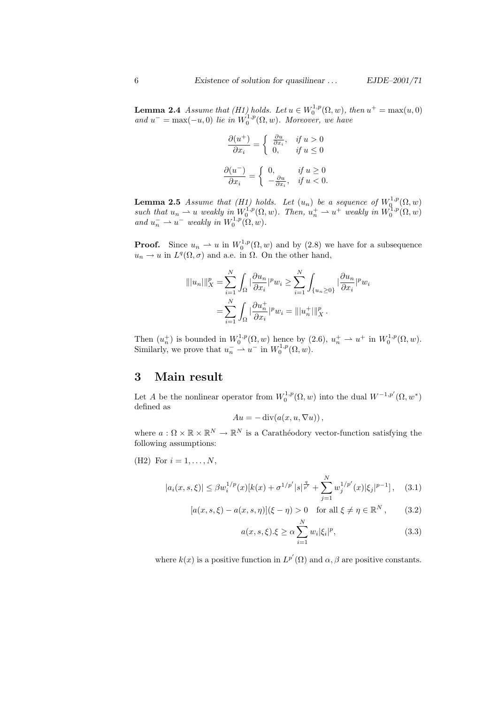**Lemma 2.4** Assume that (H1) holds. Let  $u \in W_0^{1,p}(\Omega,w)$ , then  $u^+ = \max(u,0)$ and  $u^- = \max(-u, 0)$  lie in  $W_0^{1,p}(\Omega, w)$ . Moreover, we have

$$
\frac{\partial(u^+)}{\partial x_i} = \begin{cases} \frac{\partial u}{\partial x_i}, & \text{if } u > 0 \\ 0, & \text{if } u \le 0 \end{cases}
$$

$$
\frac{\partial(u^-)}{\partial x_i} = \begin{cases} 0, & \text{if } u \ge 0 \\ -\frac{\partial u}{\partial x_i}, & \text{if } u < 0. \end{cases}
$$

**Lemma 2.5** Assume that (H1) holds. Let  $(u_n)$  be a sequence of  $W^{1,p}_0(\Omega, w)$ such that  $u_n \rightharpoonup u$  weakly in  $W_0^{1,p}(\Omega, w)$ . Then,  $u_n^+ \rightharpoonup u^+$  weakly in  $W_0^{1,p}(\Omega, w)$ and  $u_n^- \rightharpoonup u^-$  weakly in  $W_0^{1,p}(\Omega, w)$ .

**Proof.** Since  $u_n \rightharpoonup u$  in  $W_0^{1,p}(\Omega, w)$  and by  $(2.8)$  we have for a subsequence  $u_n \to u$  in  $L^q(\Omega, \sigma)$  and a.e. in  $\Omega$ . On the other hand,

$$
\| |u_n| \|_X^p = \sum_{i=1}^N \int_{\Omega} \left| \frac{\partial u_n}{\partial x_i} \right|^p w_i \ge \sum_{i=1}^N \int_{\{u_n \ge 0\}} \left| \frac{\partial u_n}{\partial x_i} \right|^p w_i
$$

$$
= \sum_{i=1}^N \int_{\Omega} \left| \frac{\partial u_n^+}{\partial x_i} \right|^p w_i = \| |u_n^+| \|_X^p .
$$

Then  $(u_n^+)$  is bounded in  $W_0^{1,p}(\Omega, w)$  hence by  $(2.6), u_n^+ \rightharpoonup u^+$  in  $W_0^{1,p}(\Omega, w)$ . Similarly, we prove that  $u_n \rightharpoonup u^-$  in  $W_0^{1,p}(\Omega, w)$ .

## 3 Main result

Let A be the nonlinear operator from  $W_0^{1,p}(\Omega,w)$  into the dual  $W^{-1,p'}(\Omega,w^*)$ defined as

$$
Au = -\operatorname{div}(a(x, u, \nabla u)),
$$

where  $a: \Omega \times \mathbb{R} \times \mathbb{R}^N \to \mathbb{R}^N$  is a Carathéodory vector-function satisfying the following assumptions:

(H2) For 
$$
i = 1, ..., N
$$
,

$$
|a_i(x, s, \xi)| \le \beta w_i^{1/p}(x)[k(x) + \sigma^{1/p'} |s|^{\frac{q}{p'}} + \sum_{j=1}^N w_j^{1/p'}(x)[\xi_j]^{p-1}], \quad (3.1)
$$

$$
[a(x, s, \xi) - a(x, s, \eta)](\xi - \eta) > 0 \quad \text{for all } \xi \neq \eta \in \mathbb{R}^N, \qquad (3.2)
$$

$$
a(x, s, \xi) \xi \ge \alpha \sum_{i=1}^{N} w_i |\xi_i|^p, \tag{3.3}
$$

where  $k(x)$  is a positive function in  $L^{p'}(\Omega)$  and  $\alpha, \beta$  are positive constants.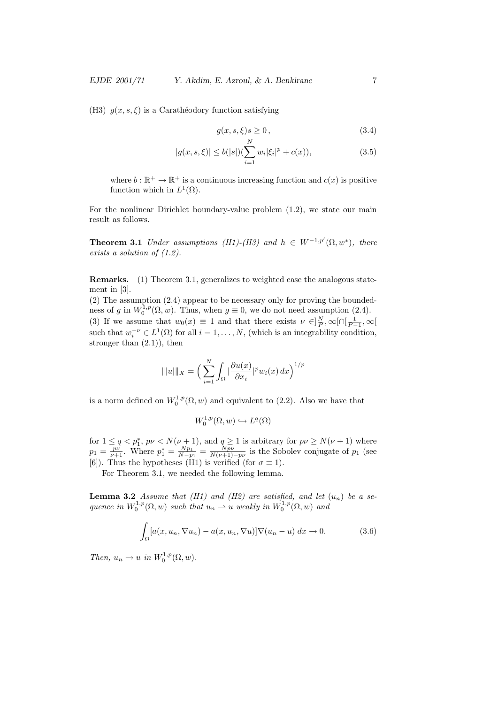(H3)  $g(x, s, \xi)$  is a Carathéodory function satisfying

$$
g(x,s,\xi)s \ge 0\,,\tag{3.4}
$$

$$
|g(x, s, \xi)| \le b(|s|) (\sum_{i=1}^{N} w_i |\xi_i|^p + c(x)), \tag{3.5}
$$

where  $b: \mathbb{R}^+ \to \mathbb{R}^+$  is a continuous increasing function and  $c(x)$  is positive function which in  $L^1(\Omega)$ .

For the nonlinear Dirichlet boundary-value problem (1.2), we state our main result as follows.

**Theorem 3.1** Under assumptions (H1)-(H3) and  $h \in W^{-1,p'}(\Omega, w^*)$ , there exists a solution of (1.2).

Remarks. (1) Theorem 3.1, generalizes to weighted case the analogous statement in [3].

(2) The assumption (2.4) appear to be necessary only for proving the boundedness of g in  $W_0^{1,p}(\Omega, w)$ . Thus, when  $g \equiv 0$ , we do not need assumption (2.4). (3) If we assume that  $w_0(x) \equiv 1$  and that there exists  $\nu \in ]\frac{N}{P}, \infty[\cap[\frac{1}{P-1}, \infty[$ such that  $w_i^{-\nu} \in L^1(\Omega)$  for all  $i = 1, ..., N$ , (which is an integrability condition, stronger than (2.1)), then

$$
\| |u| \|_X = \Big( \sum_{i=1}^N \int_{\Omega} \big| \frac{\partial u(x)}{\partial x_i} \big|^{p} w_i(x) \, dx \Big)^{1/p}
$$

is a norm defined on  $W_0^{1,p}(\Omega, w)$  and equivalent to (2.2). Also we have that

$$
W_0^{1,p}(\Omega, w) \hookrightarrow L^q(\Omega)
$$

for  $1 \le q < p_1^*$ ,  $p\nu < N(\nu + 1)$ , and  $q \ge 1$  is arbitrary for  $p\nu \ge N(\nu + 1)$  where  $p_1 = \frac{p\nu}{\nu+1}$ . Where  $p_1^* = \frac{Np_1}{N-p_1} = \frac{Np\nu}{N(\nu+1)-p\nu}$  is the Sobolev conjugate of  $p_1$  (see [6]). Thus the hypotheses (H<sub>1</sub>) is verified (for  $\sigma \equiv 1$ ).

For Theorem 3.1, we needed the following lemma.

**Lemma 3.2** Assume that (H1) and (H2) are satisfied, and let  $(u_n)$  be a sequence in  $W_0^{1,p}(\Omega, w)$  such that  $u_n \rightharpoonup u$  weakly in  $W_0^{1,p}(\Omega, w)$  and

$$
\int_{\Omega} [a(x, u_n, \nabla u_n) - a(x, u_n, \nabla u)] \nabla (u_n - u) \, dx \to 0. \tag{3.6}
$$

Then,  $u_n \to u$  in  $W_0^{1,p}(\Omega, w)$ .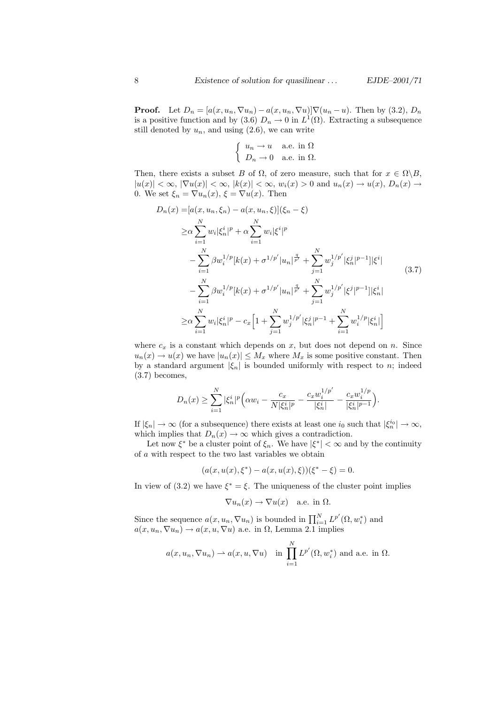**Proof.** Let  $D_n = [a(x, u_n, \nabla u_n) - a(x, u_n, \nabla u)] \nabla (u_n - u)$ . Then by (3.2),  $D_n$ is a positive function and by (3.6)  $D_n \to 0$  in  $L^1(\Omega)$ . Extracting a subsequence still denoted by  $u_n$ , and using  $(2.6)$ , we can write

$$
\begin{cases}\n u_n \to u & \text{a.e. in } \Omega \\
D_n \to 0 & \text{a.e. in } \Omega\n\end{cases}
$$

Then, there exists a subset B of  $\Omega$ , of zero measure, such that for  $x \in \Omega \backslash B$ .  $|u(x)| < \infty$ ,  $|\nabla u(x)| < \infty$ ,  $|k(x)| < \infty$ ,  $w_i(x) > 0$  and  $u_n(x) \to u(x)$ ,  $D_n(x) \to$ 0. We set  $\xi_n = \nabla u_n(x)$ ,  $\xi = \nabla u(x)$ . Then

$$
D_n(x) = [a(x, u_n, \xi_n) - a(x, u_n, \xi)](\xi_n - \xi)
$$
  
\n
$$
\geq \alpha \sum_{i=1}^N w_i |\xi_n^i|^p + \alpha \sum_{i=1}^N w_i |\xi^i|^p
$$
  
\n
$$
- \sum_{i=1}^N \beta w_i^{1/p} [k(x) + \sigma^{1/p'} |u_n|^{\frac{q}{p'}} + \sum_{j=1}^N w_j^{1/p'} |\xi_n^j|^{p-1}] |\xi^i|
$$
  
\n
$$
- \sum_{i=1}^N \beta w_i^{1/p} [k(x) + \sigma^{1/p'} |u_n|^{\frac{q}{p'}} + \sum_{j=1}^N w_j^{1/p'} |\xi^j|^{p-1}] |\xi_n^i|
$$
  
\n
$$
\geq \alpha \sum_{i=1}^N w_i |\xi_n^i|^p - c_x \Big[ 1 + \sum_{j=1}^N w_j^{1/p'} |\xi_n^j|^{p-1} + \sum_{i=1}^N w_i^{1/p} |\xi_n^i| \Big]
$$
  
\n(3.7)

where  $c_x$  is a constant which depends on x, but does not depend on n. Since  $u_n(x) \to u(x)$  we have  $|u_n(x)| \leq M_x$  where  $M_x$  is some positive constant. Then by a standard argument  $|\xi_n|$  is bounded uniformly with respect to n; indeed (3.7) becomes,

$$
D_n(x) \ge \sum_{i=1}^N |\xi_n^i|^p \Big( \alpha w_i - \frac{c_x}{N|\xi_n^i|^p} - \frac{c_x w_i^{1/p'}}{|\xi_n^i|} - \frac{c_x w_i^{1/p}}{|\xi_n^i|^{p-1}} \Big).
$$

If  $|\xi_n| \to \infty$  (for a subsequence) there exists at least one  $i_0$  such that  $|\xi_n^{i_0}| \to \infty$ , which implies that  $D_n(x) \to \infty$  which gives a contradiction.

Let now  $\xi^*$  be a cluster point of  $\xi_n$ . We have  $|\xi^*| < \infty$  and by the continuity of a with respect to the two last variables we obtain

$$
(a(x, u(x), \xi^*) - a(x, u(x), \xi))(\xi^* - \xi) = 0.
$$

In view of (3.2) we have  $\xi^* = \xi$ . The uniqueness of the cluster point implies

$$
\nabla u_n(x) \to \nabla u(x) \quad \text{a.e. in } \Omega.
$$

Since the sequence  $a(x, u_n, \nabla u_n)$  is bounded in  $\prod_{i=1}^N L^{p'}(\Omega, w_i^*)$  and  $a(x, u_n, \nabla u_n) \rightarrow a(x, u, \nabla u)$  a.e. in  $\Omega$ , Lemma 2.1 implies

$$
a(x, u_n, \nabla u_n) \rightharpoonup a(x, u, \nabla u)
$$
 in  $\prod_{i=1}^N L^{p'}(\Omega, w_i^*)$  and a.e. in  $\Omega$ .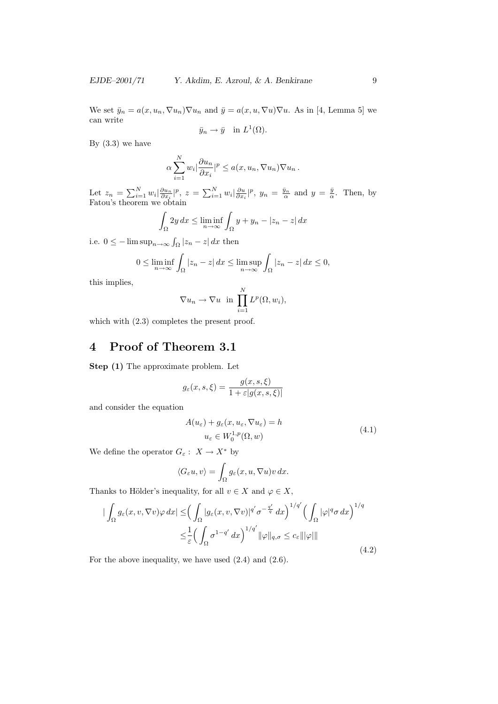We set  $\bar{y}_n = a(x, u_n, \nabla u_n) \nabla u_n$  and  $\bar{y} = a(x, u, \nabla u) \nabla u$ . As in [4, Lemma 5] we can write

$$
\bar{y}_n \to \bar{y}
$$
 in  $L^1(\Omega)$ .

By  $(3.3)$  we have

$$
\alpha \sum_{i=1}^N w_i \left| \frac{\partial u_n}{\partial x_i} \right|^p \le a(x, u_n, \nabla u_n) \nabla u_n.
$$

Let  $z_n = \sum_{i=1}^N w_i \left| \frac{\partial u_n}{\partial x_i} \right| p, z = \sum_{i=1}^N w_i \left| \frac{\partial u}{\partial x_i} \right| p, y_n = \frac{\bar{y}_n}{\alpha}$  and  $y = \frac{\bar{y}}{\alpha}$ . Then, by Fatou's theorem we obtain

$$
\int_{\Omega} 2y \, dx \le \liminf_{n \to \infty} \int_{\Omega} y + y_n - |z_n - z| \, dx
$$

i.e.  $0 \leq -\limsup_{n\to\infty} \int_{\Omega} |z_n - z| dx$  then

$$
0 \le \liminf_{n \to \infty} \int_{\Omega} |z_n - z| \, dx \le \limsup_{n \to \infty} \int_{\Omega} |z_n - z| \, dx \le 0,
$$

this implies,

$$
\nabla u_n \to \nabla u \text{ in } \prod_{i=1}^N L^p(\Omega, w_i),
$$

which with  $(2.3)$  completes the present proof.

# 4 Proof of Theorem 3.1

Step  $(1)$  The approximate problem. Let

$$
g_{\varepsilon}(x, s, \xi) = \frac{g(x, s, \xi)}{1 + \varepsilon |g(x, s, \xi)|}
$$

and consider the equation

$$
A(u_{\varepsilon}) + g_{\varepsilon}(x, u_{\varepsilon}, \nabla u_{\varepsilon}) = h
$$
  

$$
u_{\varepsilon} \in W_0^{1,p}(\Omega, w)
$$
 (4.1)

We define the operator  $G_{\varepsilon}:~X\rightarrow X^*$  by

$$
\langle G_{\varepsilon} u, v \rangle = \int_{\Omega} g_{\varepsilon}(x, u, \nabla u) v \, dx.
$$

Thanks to Hölder's inequality, for all  $v \in X$  and  $\varphi \in X$ ,

$$
\begin{split} \left| \int_{\Omega} g_{\varepsilon}(x, v, \nabla v) \varphi \, dx \right| &\leq \left( \int_{\Omega} |g_{\varepsilon}(x, v, \nabla v)|^{q'} \sigma^{-\frac{q'}{q}} \, dx \right)^{1/q'} \left( \int_{\Omega} |\varphi|^{q} \sigma \, dx \right)^{1/q} \\ &\leq \frac{1}{\varepsilon} \left( \int_{\Omega} \sigma^{1-q'} \, dx \right)^{1/q'} \|\varphi\|_{q, \sigma} \leq c_{\varepsilon} \|\|\varphi\|\| \end{split} \tag{4.2}
$$

For the above inequality, we have used (2.4) and (2.6).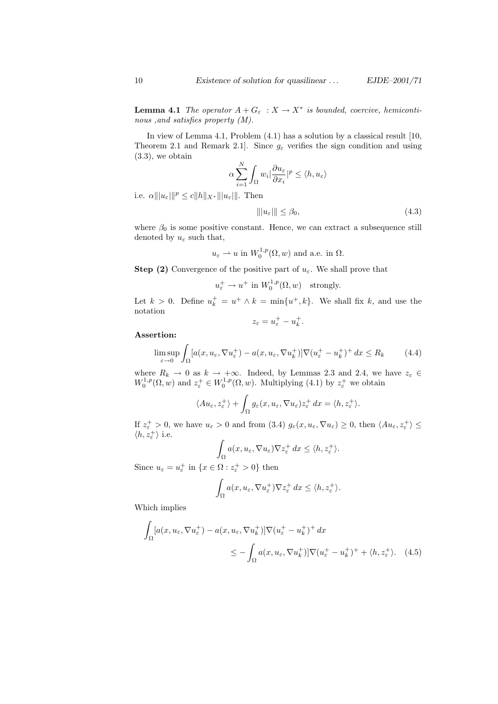**Lemma 4.1** The operator  $A + G_{\varepsilon} : X \to X^*$  is bounded, coercive, hemicontinous ,and satisfies property (M).

In view of Lemma 4.1, Problem (4.1) has a solution by a classical result [10, Theorem 2.1 and Remark 2.1. Since  $g_{\varepsilon}$  verifies the sign condition and using (3.3), we obtain  $\mathbf{v}$ 

$$
\alpha \sum_{i=1}^{N} \int_{\Omega} w_i \left| \frac{\partial u_{\varepsilon}}{\partial x_i} \right|^p \le \langle h, u_{\varepsilon} \rangle
$$

i.e.  $\alpha \|u_{\varepsilon}\|_{\infty}^p \leq c \|h\|_{X^*} \|u_{\varepsilon}\|$ . Then

$$
\| |u_{\varepsilon}| \| \le \beta_0,\tag{4.3}
$$

where  $\beta_0$  is some positive constant. Hence, we can extract a subsequence still denoted by  $u_{\varepsilon}$  such that,

$$
u_{\varepsilon} \rightharpoonup u
$$
 in  $W_0^{1,p}(\Omega, w)$  and a.e. in  $\Omega$ .

**Step (2)** Convergence of the positive part of  $u_{\varepsilon}$ . We shall prove that

$$
u_{\varepsilon}^+ \to u^+
$$
 in  $W_0^{1,p}(\Omega, w)$  strongly.

Let  $k > 0$ . Define  $u_k^+ = u^+ \wedge k = \min\{u^+, k\}$ . We shall fix k, and use the notation

$$
z_{\varepsilon}=u_{\varepsilon}^{+}-u_{k}^{+}.
$$

#### Assertion:

$$
\limsup_{\varepsilon \to 0} \int_{\Omega} [a(x, u_{\varepsilon}, \nabla u_{\varepsilon}^+) - a(x, u_{\varepsilon}, \nabla u_k^+) ] \nabla (u_{\varepsilon}^+ - u_k^+) + dx \le R_k \tag{4.4}
$$

where  $R_k \to 0$  as  $k \to +\infty$ . Indeed, by Lemmas 2.3 and 2.4, we have  $z_{\varepsilon} \in$  $W_0^{1,p}(\Omega, w)$  and  $z_\varepsilon^+ \in W_0^{1,p}(\Omega, w)$ . Multiplying (4.1) by  $z_\varepsilon^+$  we obtain

$$
\langle Au_{\varepsilon}, z_{\varepsilon}^{+} \rangle + \int_{\Omega} g_{\varepsilon}(x, u_{\varepsilon}, \nabla u_{\varepsilon}) z_{\varepsilon}^{+} dx = \langle h, z_{\varepsilon}^{+} \rangle.
$$

If  $z_{\varepsilon}^+ > 0$ , we have  $u_{\varepsilon} > 0$  and from (3.4)  $g_{\varepsilon}(x, u_{\varepsilon}, \nabla u_{\varepsilon}) \geq 0$ , then  $\langle Au_{\varepsilon}, z_{\varepsilon}^+ \rangle \leq$  $\langle h, z_\varepsilon^+ \rangle$  i.e.

$$
\int_{\Omega} a(x, u_{\varepsilon}, \nabla u_{\varepsilon}) \nabla z_{\varepsilon}^{+} dx \leq \langle h, z_{\varepsilon}^{+} \rangle.
$$

Since  $u_{\varepsilon} = u_{\varepsilon}^{+}$  in  $\{x \in \Omega : z_{\varepsilon}^{+} > 0\}$  then

$$
\int_{\Omega} a(x, u_{\varepsilon}, \nabla u_{\varepsilon}^{+}) \nabla z_{\varepsilon}^{+} dx \le \langle h, z_{\varepsilon}^{+} \rangle.
$$

Which implies

 $\overline{a}$ 

$$
\int_{\Omega} [a(x, u_{\varepsilon}, \nabla u_{\varepsilon}^{+}) - a(x, u_{\varepsilon}, \nabla u_{k}^{+})] \nabla (u_{\varepsilon}^{+} - u_{k}^{+})^{+} dx
$$
\n
$$
\leq - \int_{\Omega} a(x, u_{\varepsilon}, \nabla u_{k}^{+})] \nabla (u_{\varepsilon}^{+} - u_{k}^{+})^{+} + \langle h, z_{\varepsilon}^{+} \rangle. \tag{4.5}
$$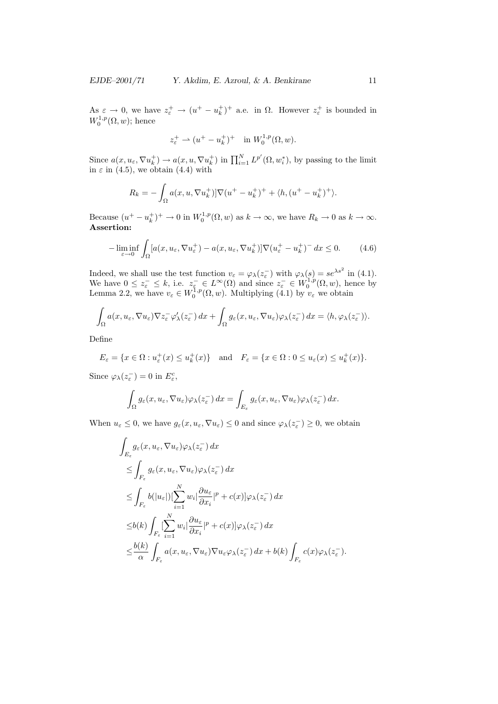As  $\varepsilon \to 0$ , we have  $z^+_\varepsilon \to (u^+ - u^+_k)^+$  a.e. in  $\Omega$ . However  $z^+_\varepsilon$  is bounded in  $W_0^{1,p}(\Omega,w)$ ; hence

$$
z_{\varepsilon}^+ \rightharpoonup (u^+ - u_k^+)^+ \quad \text{in } W_0^{1,p}(\Omega, w).
$$

Since  $a(x, u_\varepsilon, \nabla u_k^+) \to a(x, u, \nabla u_k^+)$  in  $\prod_{i=1}^N L^{p'}(\Omega, w_i^*)$ , by passing to the limit in  $\varepsilon$  in (4.5), we obtain (4.4) with

$$
R_k = -\int_{\Omega} a(x, u, \nabla u_k^+) ] \nabla (u^+ - u_k^+) ^+ + \langle h, (u^+ - u_k^+) ^+ \rangle.
$$

Because  $(u^+ - u_k^+)^+ \to 0$  in  $W_0^{1,p}(\Omega, w)$  as  $k \to \infty$ , we have  $R_k \to 0$  as  $k \to \infty$ . Assertion:

$$
-\liminf_{\varepsilon \to 0} \int_{\Omega} [a(x, u_{\varepsilon}, \nabla u_{\varepsilon}^+) - a(x, u_{\varepsilon}, \nabla u_k^+)]\nabla (u_{\varepsilon}^+ - u_k^+) \, dx \le 0. \tag{4.6}
$$

Indeed, we shall use the test function  $v_{\varepsilon} = \varphi_{\lambda}(z_{\varepsilon}^{-})$  with  $\varphi_{\lambda}(s) = s e^{\lambda s^{2}}$  in (4.1). We have  $0 \leq z_{\varepsilon}^- \leq k$ , i.e.  $z_{\varepsilon}^- \in L^{\infty}(\Omega)$  and since  $z_{\varepsilon}^- \in W_0^{1,p}(\Omega,w)$ , hence by Lemma 2.2, we have  $v_{\varepsilon} \in W_0^{1,p}(\Omega,w)$ . Multiplying (4.1) by  $v_{\varepsilon}$  we obtain

$$
\int_{\Omega} a(x, u_{\varepsilon}, \nabla u_{\varepsilon}) \nabla z_{\varepsilon}^{-} \varphi_{\lambda}'(z_{\varepsilon}^{-}) dx + \int_{\Omega} g_{\varepsilon}(x, u_{\varepsilon}, \nabla u_{\varepsilon}) \varphi_{\lambda}(z_{\varepsilon}^{-}) dx = \langle h, \varphi_{\lambda}(z_{\varepsilon}^{-}) \rangle.
$$

Define

$$
E_{\varepsilon} = \{ x \in \Omega : u_{\varepsilon}^{+}(x) \le u_{k}^{+}(x) \} \quad \text{and} \quad F_{\varepsilon} = \{ x \in \Omega : 0 \le u_{\varepsilon}(x) \le u_{k}^{+}(x) \}.
$$

Since  $\varphi_{\lambda}(z_{\varepsilon}^{-})=0$  in  $E_{\varepsilon}^{c}$ ,

$$
\int_{\Omega} g_{\varepsilon}(x, u_{\varepsilon}, \nabla u_{\varepsilon}) \varphi_{\lambda}(z_{\varepsilon}^{-}) dx = \int_{E_{\varepsilon}} g_{\varepsilon}(x, u_{\varepsilon}, \nabla u_{\varepsilon}) \varphi_{\lambda}(z_{\varepsilon}^{-}) dx.
$$

When  $u_{\varepsilon} \leq 0$ , we have  $g_{\varepsilon}(x, u_{\varepsilon}, \nabla u_{\varepsilon}) \leq 0$  and since  $\varphi_{\lambda}(z_{\varepsilon}^{-}) \geq 0$ , we obtain

$$
\int_{E_{\varepsilon}} g_{\varepsilon}(x, u_{\varepsilon}, \nabla u_{\varepsilon}) \varphi_{\lambda}(z_{\varepsilon}^{-}) dx \n\leq \int_{F_{\varepsilon}} g_{\varepsilon}(x, u_{\varepsilon}, \nabla u_{\varepsilon}) \varphi_{\lambda}(z_{\varepsilon}^{-}) dx \n\leq \int_{F_{\varepsilon}} b(|u_{\varepsilon}|) [\sum_{i=1}^{N} w_{i} | \frac{\partial u_{\varepsilon}}{\partial x_{i}} |^{p} + c(x) | \varphi_{\lambda}(z_{\varepsilon}^{-}) dx \n\leq b(k) \int_{F_{\varepsilon}} [\sum_{i=1}^{N} w_{i} | \frac{\partial u_{\varepsilon}}{\partial x_{i}} |^{p} + c(x) | \varphi_{\lambda}(z_{\varepsilon}^{-}) dx \n\leq \frac{b(k)}{\alpha} \int_{F_{\varepsilon}} a(x, u_{\varepsilon}, \nabla u_{\varepsilon}) \nabla u_{\varepsilon} \varphi_{\lambda}(z_{\varepsilon}^{-}) dx + b(k) \int_{F_{\varepsilon}} c(x) \varphi_{\lambda}(z_{\varepsilon}^{-}).
$$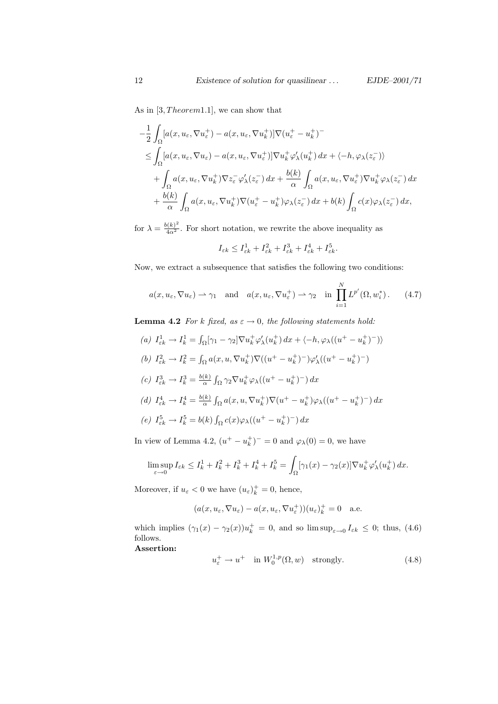As in  $[3, Theorem 1.1]$ , we can show that

$$
-\frac{1}{2} \int_{\Omega} [a(x, u_{\varepsilon}, \nabla u_{\varepsilon}^{+}) - a(x, u_{\varepsilon}, \nabla u_{k}^{+})] \nabla (u_{\varepsilon}^{+} - u_{k}^{+})^{-}
$$
  
\n
$$
\leq \int_{\Omega} [a(x, u_{\varepsilon}, \nabla u_{\varepsilon}) - a(x, u_{\varepsilon}, \nabla u_{\varepsilon}^{+})] \nabla u_{k}^{+} \varphi_{\lambda}^{\prime}(u_{k}^{+}) dx + \langle -h, \varphi_{\lambda}(z_{\varepsilon}^{-}) \rangle
$$
  
\n
$$
+ \int_{\Omega} a(x, u_{\varepsilon}, \nabla u_{k}^{+}) \nabla z_{\varepsilon}^{-} \varphi_{\lambda}^{\prime}(z_{\varepsilon}^{-}) dx + \frac{b(k)}{\alpha} \int_{\Omega} a(x, u_{\varepsilon}, \nabla u_{\varepsilon}^{+}) \nabla u_{k}^{+} \varphi_{\lambda}(z_{\varepsilon}^{-}) dx
$$
  
\n
$$
+ \frac{b(k)}{\alpha} \int_{\Omega} a(x, u_{\varepsilon}, \nabla u_{k}^{+}) \nabla (u_{\varepsilon}^{+} - u_{k}^{+}) \varphi_{\lambda}(z_{\varepsilon}^{-}) dx + b(k) \int_{\Omega} c(x) \varphi_{\lambda}(z_{\varepsilon}^{-}) dx,
$$

for  $\lambda = \frac{b(k)^2}{4\alpha^2}$ . For short notation, we rewrite the above inequality as

$$
I_{\varepsilon k}\leq I_{\varepsilon k}^1+I_{\varepsilon k}^2+I_{\varepsilon k}^3+I_{\varepsilon k}^4+I_{\varepsilon k}^5.
$$

Now, we extract a subsequence that satisfies the following two conditions:

$$
a(x, u_{\varepsilon}, \nabla u_{\varepsilon}) \rightharpoonup \gamma_1
$$
 and  $a(x, u_{\varepsilon}, \nabla u_{\varepsilon}^+) \rightharpoonup \gamma_2$  in  $\prod_{i=1}^N L^{p'}(\Omega, w_i^*)$ . (4.7)

**Lemma 4.2** For k fixed, as  $\varepsilon \to 0$ , the following statements hold:

(a) 
$$
I_{\epsilon k}^{1} \rightarrow I_{k}^{1} = \int_{\Omega} [\gamma_{1} - \gamma_{2}] \nabla u_{k}^{+} \varphi_{\lambda}^{\prime}(u_{k}^{+}) dx + \langle -h, \varphi_{\lambda}((u^{+} - u_{k}^{+})^{-}) \rangle
$$
  
\n(b)  $I_{\epsilon k}^{2} \rightarrow I_{k}^{2} = \int_{\Omega} a(x, u, \nabla u_{k}^{+}) \nabla ((u^{+} - u_{k}^{+})^{-}) \varphi_{\lambda}^{\prime}((u^{+} - u_{k}^{+})^{-})$   
\n(c)  $I_{\epsilon k}^{3} \rightarrow I_{k}^{3} = \frac{b(k)}{\alpha} \int_{\Omega} \gamma_{2} \nabla u_{k}^{+} \varphi_{\lambda}((u^{+} - u_{k}^{+})^{-}) dx$   
\n(d)  $I_{\epsilon k}^{4} \rightarrow I_{k}^{4} = \frac{b(k)}{\alpha} \int_{\Omega} a(x, u, \nabla u_{k}^{+}) \nabla (u^{+} - u_{k}^{+}) \varphi_{\lambda}((u^{+} - u_{k}^{+})^{-}) dx$   
\n(e)  $I_{\epsilon k}^{5} \rightarrow I_{k}^{5} = b(k) \int_{\Omega} c(x) \varphi_{\lambda}((u^{+} - u_{k}^{+})^{-}) dx$ 

In view of Lemma 4.2,  $(u^+ - u_k^+)^- = 0$  and  $\varphi_\lambda(0) = 0$ , we have

$$
\limsup_{\varepsilon \to 0} I_{\varepsilon k} \le I_k^1 + I_k^2 + I_k^3 + I_k^4 + I_k^5 = \int_{\Omega} [\gamma_1(x) - \gamma_2(x)] \nabla u_k^+ \varphi_\lambda'(u_k^+) dx.
$$

Moreover, if  $u_{\varepsilon} < 0$  we have  $(u_{\varepsilon})_k^+ = 0$ , hence,

$$
(a(x, u_{\varepsilon}, \nabla u_{\varepsilon}) - a(x, u_{\varepsilon}, \nabla u_{\varepsilon}^{+}))(u_{\varepsilon})_{k}^{+} = 0 \quad \text{a.e.}
$$

which implies  $(\gamma_1(x) - \gamma_2(x))u_k^+ = 0$ , and so  $\limsup_{\varepsilon \to 0} I_{\varepsilon k} \leq 0$ ; thus, (4.6) follows. Assertion:

$$
u_{\varepsilon}^{+} \to u^{+} \quad \text{in } W_{0}^{1,p}(\Omega, w) \quad \text{strongly.} \tag{4.8}
$$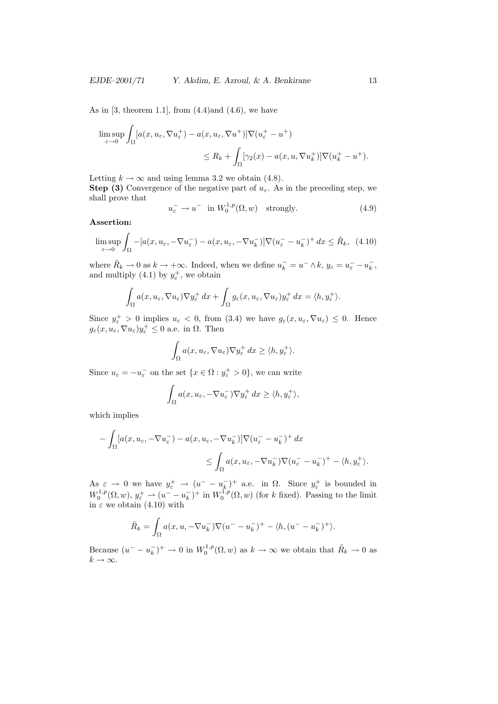As in  $[3,$  theorem 1.1, from  $(4.4)$  and  $(4.6)$ , we have

$$
\limsup_{\varepsilon \to 0} \int_{\Omega} [a(x, u_{\varepsilon}, \nabla u_{\varepsilon}^{+}) - a(x, u_{\varepsilon}, \nabla u^{+})] \nabla (u_{\varepsilon}^{+} - u^{+})
$$
  

$$
\leq R_{k} + \int_{\Omega} [\gamma_{2}(x) - a(x, u, \nabla u_{k}^{+})] \nabla (u_{k}^{+} - u^{+}).
$$

Letting  $k \to \infty$  and using lemma 3.2 we obtain (4.8).

**Step (3)** Convergence of the negative part of  $u_{\varepsilon}$ . As in the preceding step, we shall prove that

$$
u_{\varepsilon}^{-} \to u^{-} \quad \text{in} \ W_{0}^{1,p}(\Omega, w) \quad \text{strongly.} \tag{4.9}
$$

#### Assertion:

$$
\limsup_{\varepsilon \to 0} \int_{\Omega} -[a(x, u_{\varepsilon}, -\nabla u_{\varepsilon}^-) - a(x, u_{\varepsilon}, -\nabla u_k^-)] \nabla (u_{\varepsilon}^- - u_k^-)^+ dx \le \tilde{R}_k, \tag{4.10}
$$

where  $\tilde{R}_k \to 0$  as  $k \to +\infty$ . Indeed, when we define  $u_k^- = u^- \wedge k$ ,  $y_{\varepsilon} = u_{\varepsilon}^- - u_k^ \frac{-}{k}$ , and multiply (4.1) by  $y_{\varepsilon}^+$ , we obtain

$$
\int_{\Omega} a(x, u_{\varepsilon}, \nabla u_{\varepsilon}) \nabla y_{\varepsilon}^{+} dx + \int_{\Omega} g_{\varepsilon}(x, u_{\varepsilon}, \nabla u_{\varepsilon}) y_{\varepsilon}^{+} dx = \langle h, y_{\varepsilon}^{+} \rangle.
$$

Since  $y_{\varepsilon}^+ > 0$  implies  $u_{\varepsilon} < 0$ , from  $(3.4)$  we have  $g_{\varepsilon}(x, u_{\varepsilon}, \nabla u_{\varepsilon}) \leq 0$ . Hence  $g_{\varepsilon}(x, u_{\varepsilon}, \nabla u_{\varepsilon})y_{\varepsilon}^{+} \leq 0$  a.e. in  $\Omega$ . Then

$$
\int_{\Omega} a(x, u_{\varepsilon}, \nabla u_{\varepsilon}) \nabla y_{\varepsilon}^{+} dx \ge \langle h, y_{\varepsilon}^{+} \rangle.
$$

Since  $u_{\varepsilon} = -u_{\varepsilon}$  on the set  $\{x \in \Omega : y_{\varepsilon}^+ > 0\}$ , we can write

$$
\int_{\Omega} a(x, u_{\varepsilon}, -\nabla u_{\varepsilon}^{-}) \nabla y_{\varepsilon}^{+} dx \ge \langle h, y_{\varepsilon}^{+} \rangle,
$$

which implies

$$
- \int_{\Omega} [a(x, u_{\varepsilon}, -\nabla u_{\varepsilon}^-) - a(x, u_{\varepsilon}, -\nabla u_k^-)] \nabla (u_{\varepsilon}^- - u_k^-)^+ dx
$$
  

$$
\leq \int_{\Omega} a(x, u_{\varepsilon}, -\nabla u_k^-) \nabla (u_{\varepsilon}^- - u_k^-)^+ - \langle h, y_{\varepsilon}^+ \rangle.
$$

As  $\varepsilon \to 0$  we have  $y_{\varepsilon}^+ \to (u^- - u_k^-)$  $(\overline{k})^+$  a.e. in  $\Omega$ . Since  $y^+_{\varepsilon}$  is bounded in  $W_0^{1,p}(\Omega, w), y_\varepsilon^+ \rightharpoonup (u^- - u^-_k)$  $(k)$ <sup>+</sup> in  $W_0^{1,p}(\Omega, w)$  (for k fixed). Passing to the limit in  $\varepsilon$  we obtain (4.10) with

$$
\tilde{R}_k = \int_{\Omega} a(x, u, -\nabla u_k^-) \nabla (u^- - u_k^-)^+ - \langle h, (u^- - u_k^-)^+ \rangle.
$$

Because  $(u^- - u_k^ (k)$ <sup>+</sup>  $\rightarrow$  0 in  $W_0^{1,p}(\Omega, w)$  as  $k \rightarrow \infty$  we obtain that  $\tilde{R}_k \rightarrow 0$  as  $k \to \infty$ .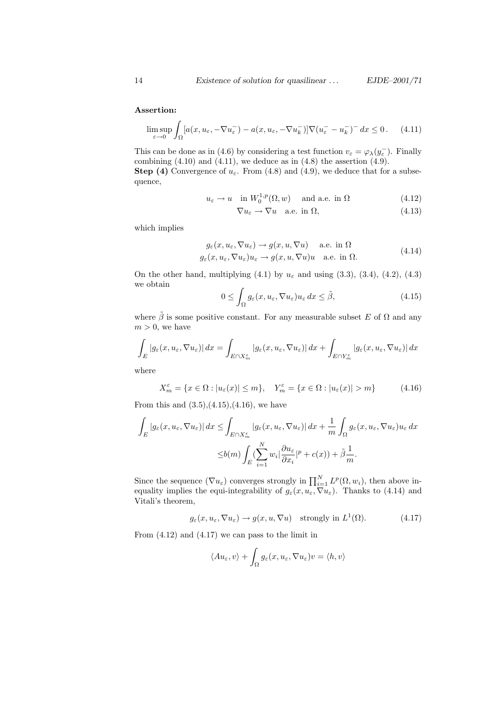### Assertion:

$$
\limsup_{\varepsilon \to 0} \int_{\Omega} [a(x, u_{\varepsilon}, -\nabla u_{\varepsilon}^-) - a(x, u_{\varepsilon}, -\nabla u_k^-)] \nabla (u_{\varepsilon}^- - u_k^-)^- dx \le 0. \tag{4.11}
$$

This can be done as in (4.6) by considering a test function  $v_{\varepsilon} = \varphi_{\lambda}(y_{\varepsilon}^{-})$ . Finally combining  $(4.10)$  and  $(4.11)$ , we deduce as in  $(4.8)$  the assertion  $(4.9)$ .

**Step (4)** Convergence of  $u_{\varepsilon}$ . From (4.8) and (4.9), we deduce that for a subsequence,

$$
u_{\varepsilon} \to u \quad \text{in} \ W_0^{1,p}(\Omega, w) \quad \text{and a.e. in } \Omega \tag{4.12}
$$

$$
\nabla u_{\varepsilon} \to \nabla u \quad \text{a.e. in } \Omega,\tag{4.13}
$$

which implies

$$
g_{\varepsilon}(x, u_{\varepsilon}, \nabla u_{\varepsilon}) \to g(x, u, \nabla u) \quad \text{a.e. in } \Omega
$$
  

$$
g_{\varepsilon}(x, u_{\varepsilon}, \nabla u_{\varepsilon})u_{\varepsilon} \to g(x, u, \nabla u)u \quad \text{a.e. in } \Omega.
$$
 (4.14)

On the other hand, multiplying (4.1) by  $u_{\varepsilon}$  and using (3.3), (3.4), (4.2), (4.3) we obtain

$$
0 \le \int_{\Omega} g_{\varepsilon}(x, u_{\varepsilon}, \nabla u_{\varepsilon}) u_{\varepsilon} dx \le \tilde{\beta}, \tag{4.15}
$$

where  $\tilde{\beta}$  is some positive constant. For any measurable subset E of  $\Omega$  and any  $m > 0$ , we have

$$
\int_{E} |g_{\varepsilon}(x, u_{\varepsilon}, \nabla u_{\varepsilon})| dx = \int_{E \cap X_{m}^{\varepsilon}} |g_{\varepsilon}(x, u_{\varepsilon}, \nabla u_{\varepsilon})| dx + \int_{E \cap Y_{m}^{\varepsilon}} |g_{\varepsilon}(x, u_{\varepsilon}, \nabla u_{\varepsilon})| dx
$$

where

$$
X_m^{\varepsilon} = \{ x \in \Omega : |u_{\varepsilon}(x)| \le m \}, \quad Y_m^{\varepsilon} = \{ x \in \Omega : |u_{\varepsilon}(x)| > m \}
$$
(4.16)

From this and  $(3.5)$ , $(4.15)$ , $(4.16)$ , we have

$$
\int_{E} |g_{\varepsilon}(x, u_{\varepsilon}, \nabla u_{\varepsilon})| dx \leq \int_{E \cap X_{m}^{\varepsilon}} |g_{\varepsilon}(x, u_{\varepsilon}, \nabla u_{\varepsilon})| dx + \frac{1}{m} \int_{\Omega} g_{\varepsilon}(x, u_{\varepsilon}, \nabla u_{\varepsilon}) u_{\varepsilon} dx
$$
  

$$
\leq b(m) \int_{E} (\sum_{i=1}^{N} w_{i} |\frac{\partial u_{\varepsilon}}{\partial x_{i}}|^{p} + c(x)) + \tilde{\beta} \frac{1}{m}.
$$

Since the sequence  $(\nabla u_{\varepsilon})$  converges strongly in  $\prod_{i=1}^{N} L^p(\Omega, w_i)$ , then above inequality implies the equi-integrability of  $g_{\varepsilon}(x, u_{\varepsilon}, \nabla u_{\varepsilon})$ . Thanks to (4.14) and Vitali's theorem,

$$
g_{\varepsilon}(x, u_{\varepsilon}, \nabla u_{\varepsilon}) \to g(x, u, \nabla u)
$$
 strongly in  $L^1(\Omega)$ . (4.17)

From  $(4.12)$  and  $(4.17)$  we can pass to the limit in

$$
\langle Au_{\varepsilon}, v \rangle + \int_{\Omega} g_{\varepsilon}(x, u_{\varepsilon}, \nabla u_{\varepsilon}) v = \langle h, v \rangle
$$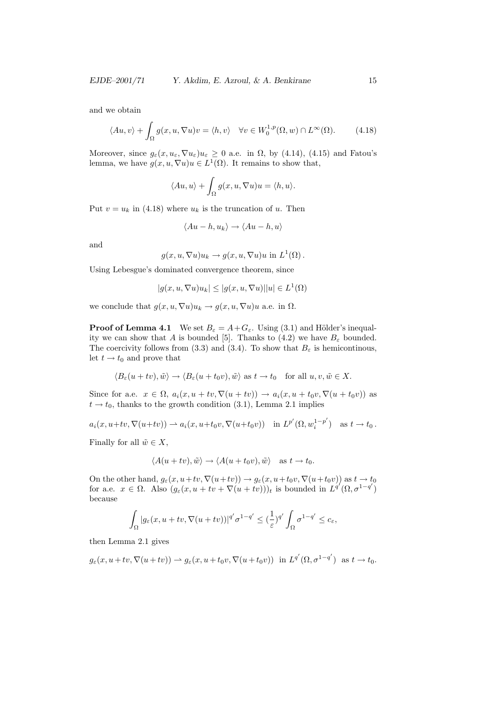and we obtain

$$
\langle Au, v \rangle + \int_{\Omega} g(x, u, \nabla u) v = \langle h, v \rangle \quad \forall v \in W_0^{1, p}(\Omega, w) \cap L^{\infty}(\Omega). \tag{4.18}
$$

Moreover, since  $g_{\varepsilon}(x, u_{\varepsilon}, \nabla u_{\varepsilon})u_{\varepsilon} \geq 0$  a.e. in  $\Omega$ , by (4.14), (4.15) and Fatou's lemma, we have  $g(x, u, \nabla u)u \in L^1(\Omega)$ . It remains to show that,

$$
\langle Au, u \rangle + \int_{\Omega} g(x, u, \nabla u)u = \langle h, u \rangle.
$$

Put  $v = u_k$  in (4.18) where  $u_k$  is the truncation of u. Then

$$
\langle Au - h, u_k \rangle \to \langle Au - h, u \rangle
$$

and

$$
g(x, u, \nabla u)u_k \to g(x, u, \nabla u)u \text{ in } L^1(\Omega).
$$

Using Lebesgue's dominated convergence theorem, since

$$
|g(x, u, \nabla u)u_k| \le |g(x, u, \nabla u)||u| \in L^1(\Omega)
$$

we conclude that  $g(x, u, \nabla u)u_k \to g(x, u, \nabla u)u$  a.e. in  $\Omega$ .

**Proof of Lemma 4.1** We set  $B_{\varepsilon} = A + G_{\varepsilon}$ . Using (3.1) and Hölder's inequality we can show that A is bounded [5]. Thanks to (4.2) we have  $B_{\varepsilon}$  bounded. The coercivity follows from (3.3) and (3.4). To show that  $B_{\varepsilon}$  is hemicontinous, let  $t \rightarrow t_0$  and prove that

$$
\langle B_{\varepsilon}(u+tv), \tilde{w}\rangle \to \langle B_{\varepsilon}(u+t_0v), \tilde{w}\rangle \text{ as } t \to t_0 \quad \text{for all } u, v, \tilde{w} \in X.
$$

Since for a.e.  $x \in \Omega$ ,  $a_i(x, u + tv, \nabla(u + tv)) \to a_i(x, u + t_0v, \nabla(u + t_0v))$  as  $t \rightarrow t_0$ , thanks to the growth condition (3.1), Lemma 2.1 implies

 $a_i(x, u+tv, \nabla(u+tv)) \rightharpoonup a_i(x, u+t_0v, \nabla(u+t_0v))$  in  $L^{p'}(\Omega, w_i^{1-p'}$  $i^{1-p'}$ ) as  $t \to t_0$ .

Finally for all  $\tilde{w} \in X$ ,

$$
\langle A(u+tv), \tilde{w} \rangle \to \langle A(u+t_0v), \tilde{w} \rangle \quad \text{as } t \to t_0.
$$

On the other hand,  $g_{\varepsilon}(x, u+tv, \nabla(u+tv)) \to g_{\varepsilon}(x, u+t_0v, \nabla(u+t_0v))$  as  $t \to t_0$ for a.e.  $x \in \Omega$ . Also  $(g_{\varepsilon}(x, u + tv + \nabla(u + tv)))_t$  is bounded in  $L^{q'}(\Omega, \sigma^{1-q'})$ because

$$
\int_{\Omega} |g_{\varepsilon}(x, u + tv, \nabla(u + tv))|^{q'} \sigma^{1-q'} \leq (\frac{1}{\varepsilon})^{q'} \int_{\Omega} \sigma^{1-q'} \leq c_{\varepsilon},
$$

then Lemma 2.1 gives

$$
g_{\varepsilon}(x, u + tv, \nabla(u + tv)) \rightharpoonup g_{\varepsilon}(x, u + t_0 v, \nabla(u + t_0 v))
$$
 in  $L^{q'}(\Omega, \sigma^{1-q'})$  as  $t \to t_0$ .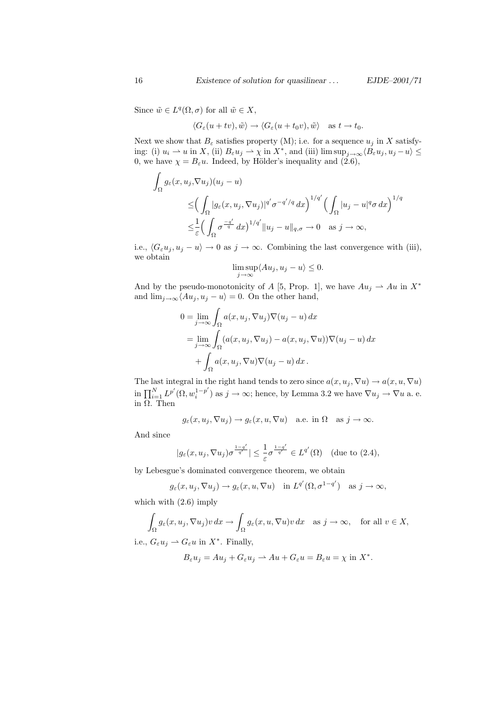Since  $\tilde{w} \in L^q(\Omega, \sigma)$  for all  $\tilde{w} \in X$ ,

$$
\langle G_{\varepsilon}(u+tv), \tilde{w}\rangle \to \langle G_{\varepsilon}(u+t_0v), \tilde{w}\rangle \quad \text{as } t \to t_0.
$$

Next we show that  $B_{\varepsilon}$  satisfies property (M); i.e. for a sequence  $u_j$  in X satisfying: (i)  $u_i \rightharpoonup u$  in  $X$ , (ii)  $B_{\varepsilon} u_j \rightharpoonup \chi$  in  $X^*$ , and (iii) lim  $\sup_{j\to\infty} \langle B_{\varepsilon} u_j, u_j - u \rangle \leq$ 0, we have  $\chi = B_{\varepsilon}u$ . Indeed, by Hölder's inequality and (2.6),

$$
\int_{\Omega} g_{\varepsilon}(x, u_j, \nabla u_j)(u_j - u)
$$
\n
$$
\leq \left( \int_{\Omega} |g_{\varepsilon}(x, u_j, \nabla u_j)|^{q'} \sigma^{-q'/q} dx \right)^{1/q'} \left( \int_{\Omega} |u_j - u|^q \sigma dx \right)^{1/q}
$$
\n
$$
\leq \frac{1}{\varepsilon} \left( \int_{\Omega} \sigma^{\frac{-q'}{q}} dx \right)^{1/q'} \|u_j - u\|_{q, \sigma} \to 0 \quad \text{as } j \to \infty,
$$

i.e.,  $\langle G_{\varepsilon} u_j, u_j - u \rangle \to 0$  as  $j \to \infty$ . Combining the last convergence with (iii), we obtain

$$
\limsup_{j \to \infty} \langle Au_j, u_j - u \rangle \le 0.
$$

And by the pseudo-monotonicity of A [5, Prop. 1], we have  $Au_j \rightharpoonup Au$  in  $X^*$ and  $\lim_{j\to\infty}\langle Au_j, u_j - u \rangle = 0$ . On the other hand,

$$
0 = \lim_{j \to \infty} \int_{\Omega} a(x, u_j, \nabla u_j) \nabla (u_j - u) dx
$$
  
= 
$$
\lim_{j \to \infty} \int_{\Omega} (a(x, u_j, \nabla u_j) - a(x, u_j, \nabla u)) \nabla (u_j - u) dx
$$
  
+ 
$$
\int_{\Omega} a(x, u_j, \nabla u) \nabla (u_j - u) dx.
$$

The last integral in the right hand tends to zero since  $a(x, u_j, \nabla u) \to a(x, u, \nabla u)$ in  $\prod_{i=1}^N L^{p'}(\Omega, w_i^{1-p'} )$  $i^{1-p'}$ ) as  $j \to \infty$ ; hence, by Lemma 3.2 we have  $\nabla u_j \to \nabla u$  a. e. in Ω. Then

$$
g_\varepsilon(x,u_j,\nabla u_j)\to g_\varepsilon(x,u,\nabla u)\quad\text{a.e. in }\Omega\quad\text{as }j\to\infty.
$$

And since

$$
|g_{\varepsilon}(x, u_j, \nabla u_j)\sigma^{\frac{1-q'}{q'}}| \leq \frac{1}{\varepsilon}\sigma^{\frac{1-q'}{q'}} \in L^{q'}(\Omega) \quad (\text{due to } (2.4),
$$

by Lebesgue's dominated convergence theorem, we obtain

$$
g_{\varepsilon}(x, u_j, \nabla u_j) \to g_{\varepsilon}(x, u, \nabla u)
$$
 in  $L^{q'}(\Omega, \sigma^{1-q'})$  as  $j \to \infty$ ,

which with (2.6) imply

$$
\int_{\Omega} g_{\varepsilon}(x, u_j, \nabla u_j) v \, dx \to \int_{\Omega} g_{\varepsilon}(x, u, \nabla u) v \, dx \quad \text{as } j \to \infty, \quad \text{for all } v \in X,
$$

i.e.,  $G_{\varepsilon}u_j \rightharpoonup G_{\varepsilon}u$  in  $X^*$ . Finally,

$$
B_{\varepsilon}u_j = Au_j + G_{\varepsilon}u_j \rightharpoonup Au + G_{\varepsilon}u = B_{\varepsilon}u = \chi \text{ in } X^*.
$$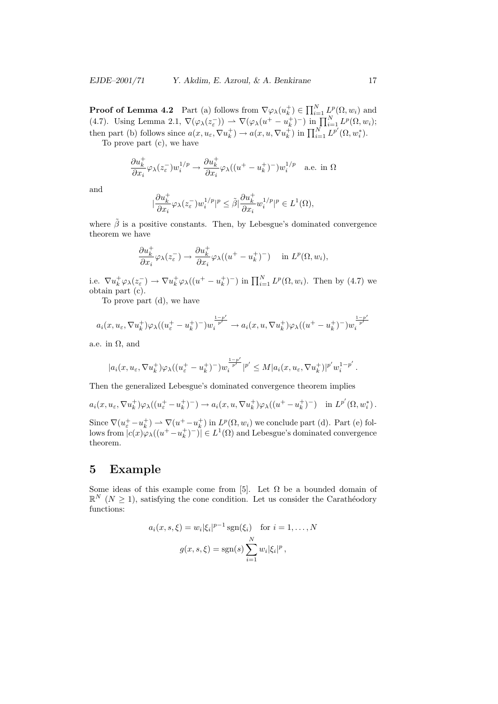**Proof of Lemma 4.2** Part (a) follows from  $\nabla\varphi_\lambda(u_k^+) \in \prod_{i=1}^N L^p(\Omega, w_i)$  and (4.7). Using Lemma 2.1,  $\nabla(\varphi_\lambda(z_\varepsilon)) \rightharpoonup \nabla(\varphi_\lambda(u^+ - u^+_k)^-)$  in  $\prod_{i=1}^N L^p(\Omega, w_i);$ then part (b) follows since  $a(x, u_{\varepsilon}, \nabla u_k^+) \to a(x, u, \nabla u_k^+)$  in  $\prod_{i=1}^N L^{p'}(\Omega, w_i^*)$ . To prove part (c), we have

$$
\frac{\partial u_k^+}{\partial x_i} \varphi_\lambda(z^-_\varepsilon) w_i^{1/p} \to \frac{\partial u_k^+}{\partial x_i} \varphi_\lambda((u^+-u_k^+)^-) w_i^{1/p} \quad \text{a.e. in}
$$

and

$$
|\frac{\partial u^+_k}{\partial x_i} \varphi_\lambda(z^-_\varepsilon) w^{1/p}_i|^p \leq \tilde \beta |\frac{\partial u^+_k}{\partial x_i} w^{1/p}_i|^p \in L^1(\Omega),
$$

where  $\tilde{\beta}$  is a positive constants. Then, by Lebesgue's dominated convergence theorem we have

$$
\frac{\partial u_k^+}{\partial x_i} \varphi_\lambda(z_\varepsilon^-) \to \frac{\partial u_k^+}{\partial x_i} \varphi_\lambda((u^+ - u_k^+)^-) \quad \text{in } L^p(\Omega, w_i),
$$

i.e.  $\nabla u_k^+ \varphi_\lambda(z_\varepsilon^-) \to \nabla u_k^+ \varphi_\lambda((u^+ - u_k^+)^-)$  in  $\prod_{i=1}^N L^p(\Omega, w_i)$ . Then by (4.7) we obtain part (c).

To prove part (d), we have

$$
a_i(x,u_\varepsilon,\nabla u^+_{k})\varphi_\lambda((u^+_\varepsilon-u^+_{k})^-)w_i^{\frac{1-p'}{p'}}\to a_i(x,u,\nabla u^+_{k})\varphi_\lambda((u^+-u^+_{k})^-)w_i^{\frac{1-p'}{p'}}
$$

a.e. in  $\Omega$ , and

$$
|a_i(x,u_\varepsilon,\nabla u_k^+)\varphi_\lambda((u_\varepsilon^+-u_k^+)^-)w_i^{\frac{1-p'}{p'}}|^{p'}\leq M|a_i(x,u_\varepsilon,\nabla u_k^+)|^{p'}w_i^{1-p'}.
$$

Then the generalized Lebesgue's dominated convergence theorem implies

$$
a_i(x, u_{\varepsilon}, \nabla u_k^+) \varphi_\lambda((u_{\varepsilon}^+ - u_k^+)^-) \to a_i(x, u, \nabla u_k^+) \varphi_\lambda((u^+ - u_k^+)^-) \quad \text{in } L^{p'}(\Omega, w_i^*).
$$

Since  $\nabla(u_{\varepsilon}^+ - u_k^+) \rightharpoonup \nabla(u^+ - u_k^+)$  in  $L^p(\Omega, w_i)$  we conclude part (d). Part (e) follows from  $|c(x)\varphi_\lambda((u^+-u_k^+)^-)| \in L^1(\Omega)$  and Lebesgue's dominated convergence theorem.

## 5 Example

Some ideas of this example come from [5]. Let  $\Omega$  be a bounded domain of  $\mathbb{R}^N$  ( $N \geq 1$ ), satisfying the cone condition. Let us consider the Carathéodory functions:

$$
a_i(x, s, \xi) = w_i |\xi_i|^{p-1} \operatorname{sgn}(\xi_i) \quad \text{for } i = 1, \dots, N
$$

$$
g(x, s, \xi) = \operatorname{sgn}(s) \sum_{i=1}^N w_i |\xi_i|^p,
$$

 $\Omega$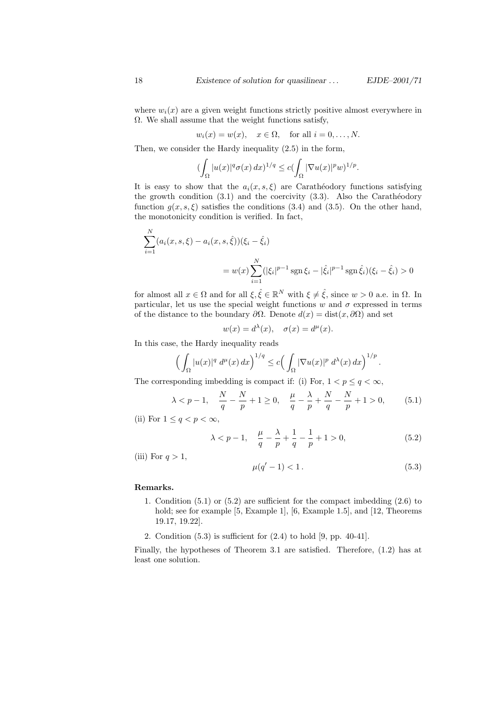where  $w_i(x)$  are a given weight functions strictly positive almost everywhere in  $\Omega$ . We shall assume that the weight functions satisfy,

 $w_i(x) = w(x), \quad x \in \Omega, \text{ for all } i = 0, \ldots, N.$ 

Then, we consider the Hardy inequality (2.5) in the form,

$$
\left(\int_{\Omega}|u(x)|^q\sigma(x)\,dx\right)^{1/q}\leq c\left(\int_{\Omega}|\nabla u(x)|^p w\right)^{1/p}.
$$

It is easy to show that the  $a_i(x, s, \xi)$  are Carathéodory functions satisfying the growth condition  $(3.1)$  and the coercivity  $(3.3)$ . Also the Carathéodory function  $g(x, s, \xi)$  satisfies the conditions (3.4) and (3.5). On the other hand, the monotonicity condition is verified. In fact,

$$
\sum_{i=1}^{N} (a_i(x, s, \xi) - a_i(x, s, \hat{\xi})) (\xi_i - \hat{\xi}_i)
$$
  
=  $w(x) \sum_{i=1}^{N} (|\xi_i|^{p-1} \operatorname{sgn} \xi_i - |\hat{\xi}_i|^{p-1} \operatorname{sgn} \hat{\xi}_i) (\xi_i - \hat{\xi}_i) > 0$ 

for almost all  $x \in \Omega$  and for all  $\xi, \hat{\xi} \in \mathbb{R}^N$  with  $\xi \neq \hat{\xi}$ , since  $w > 0$  a.e. in  $\Omega$ . In particular, let us use the special weight functions w and  $\sigma$  expressed in terms of the distance to the boundary  $\partial\Omega$ . Denote  $d(x) = \text{dist}(x, \partial\Omega)$  and set

$$
w(x) = d^{\lambda}(x), \quad \sigma(x) = d^{\mu}(x).
$$

In this case, the Hardy inequality reads

$$
\left(\int_{\Omega} |u(x)|^q \, d^{\mu}(x) \, dx\right)^{1/q} \leq c \left(\int_{\Omega} |\nabla u(x)|^p \, d^{\lambda}(x) \, dx\right)^{1/p}.
$$

The corresponding imbedding is compact if: (i) For,  $1 < p \le q < \infty$ ,

$$
\lambda < p-1
$$
,  $\frac{N}{q} - \frac{N}{p} + 1 \ge 0$ ,  $\frac{\mu}{q} - \frac{\lambda}{p} + \frac{N}{q} - \frac{N}{p} + 1 > 0$ , (5.1)

(ii) For  $1 \leq q < p < \infty$ ,

$$
\lambda < p - 1, \quad \frac{\mu}{q} - \frac{\lambda}{p} + \frac{1}{q} - \frac{1}{p} + 1 > 0,\tag{5.2}
$$

(iii) For  $q > 1$ ,

$$
\mu(q'-1) < 1. \tag{5.3}
$$

#### Remarks.

- 1. Condition (5.1) or (5.2) are sufficient for the compact imbedding (2.6) to hold; see for example [5, Example 1], [6, Example 1.5], and [12, Theorems 19.17, 19.22].
- 2. Condition (5.3) is sufficient for (2.4) to hold [9, pp. 40-41].

Finally, the hypotheses of Theorem 3.1 are satisfied. Therefore, (1.2) has at least one solution.